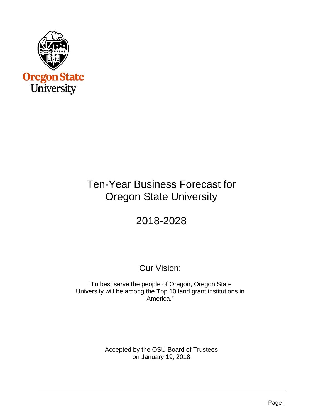

# Ten-Year Business Forecast for Oregon State University

# 2018-2028

# Our Vision:

"To best serve the people of Oregon, Oregon State University will be among the Top 10 land grant institutions in America."

> Accepted by the OSU Board of Trustees on January 19, 2018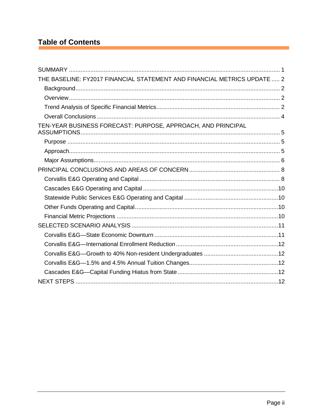# **Table of Contents**

| THE BASELINE: FY2017 FINANCIAL STATEMENT AND FINANCIAL METRICS UPDATE  2 |  |
|--------------------------------------------------------------------------|--|
|                                                                          |  |
|                                                                          |  |
|                                                                          |  |
|                                                                          |  |
| TEN-YEAR BUSINESS FORECAST: PURPOSE, APPROACH, AND PRINCIPAL             |  |
|                                                                          |  |
|                                                                          |  |
|                                                                          |  |
|                                                                          |  |
|                                                                          |  |
|                                                                          |  |
|                                                                          |  |
|                                                                          |  |
|                                                                          |  |
|                                                                          |  |
|                                                                          |  |
|                                                                          |  |
|                                                                          |  |
|                                                                          |  |
|                                                                          |  |
|                                                                          |  |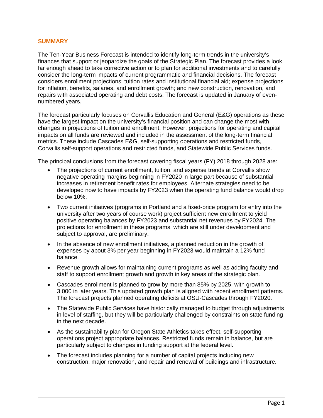#### <span id="page-2-0"></span>**SUMMARY**

The Ten-Year Business Forecast is intended to identify long-term trends in the university's finances that support or jeopardize the goals of the Strategic Plan. The forecast provides a look far enough ahead to take corrective action or to plan for additional investments and to carefully consider the long-term impacts of current programmatic and financial decisions. The forecast considers enrollment projections; tuition rates and institutional financial aid; expense projections for inflation, benefits, salaries, and enrollment growth; and new construction, renovation, and repairs with associated operating and debt costs. The forecast is updated in January of evennumbered years.

The forecast particularly focuses on Corvallis Education and General (E&G) operations as these have the largest impact on the university's financial position and can change the most with changes in projections of tuition and enrollment. However, projections for operating and capital impacts on all funds are reviewed and included in the assessment of the long-term financial metrics. These include Cascades E&G, self-supporting operations and restricted funds, Corvallis self-support operations and restricted funds, and Statewide Public Services funds.

The principal conclusions from the forecast covering fiscal years (FY) 2018 through 2028 are:

- The projections of current enrollment, tuition, and expense trends at Corvallis show negative operating margins beginning in FY2020 in large part because of substantial increases in retirement benefit rates for employees. Alternate strategies need to be developed now to have impacts by FY2023 when the operating fund balance would drop below 10%.
- Two current initiatives (programs in Portland and a fixed-price program for entry into the university after two years of course work) project sufficient new enrollment to yield positive operating balances by FY2023 and substantial net revenues by FY2024. The projections for enrollment in these programs, which are still under development and subject to approval, are preliminary.
- In the absence of new enrollment initiatives, a planned reduction in the growth of expenses by about 3% per year beginning in FY2023 would maintain a 12% fund balance.
- Revenue growth allows for maintaining current programs as well as adding faculty and staff to support enrollment growth and growth in key areas of the strategic plan.
- Cascades enrollment is planned to grow by more than 85% by 2025, with growth to 3,000 in later years. This updated growth plan is aligned with recent enrollment patterns. The forecast projects planned operating deficits at OSU-Cascades through FY2020.
- The Statewide Public Services have historically managed to budget through adjustments in level of staffing, but they will be particularly challenged by constraints on state funding in the next decade.
- As the sustainability plan for Oregon State Athletics takes effect, self-supporting operations project appropriate balances. Restricted funds remain in balance, but are particularly subject to changes in funding support at the federal level.
- The forecast includes planning for a number of capital projects including new construction, major renovation, and repair and renewal of buildings and infrastructure.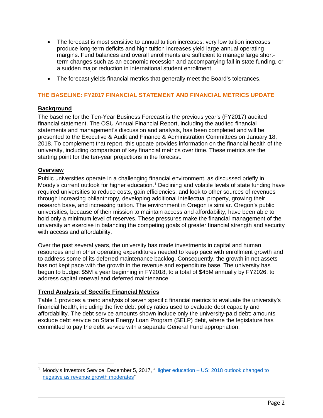- The forecast is most sensitive to annual tuition increases: very low tuition increases produce long-term deficits and high tuition increases yield large annual operating margins. Fund balances and overall enrollments are sufficient to manage large shortterm changes such as an economic recession and accompanying fall in state funding, or a sudden major reduction in international student enrollment.
- The forecast yields financial metrics that generally meet the Board's tolerances.

# <span id="page-3-0"></span>**THE BASELINE: FY2017 FINANCIAL STATEMENT AND FINANCIAL METRICS UPDATE**

# <span id="page-3-1"></span>**Background**

The baseline for the Ten-Year Business Forecast is the previous year's (FY2017) audited financial statement. The OSU Annual Financial Report, including the audited financial statements and management's discussion and analysis, has been completed and will be presented to the Executive & Audit and Finance & Administration Committees on January 18, 2018. To complement that report, this update provides information on the financial health of the university, including comparison of key financial metrics over time. These metrics are the starting point for the ten-year projections in the forecast.

# <span id="page-3-2"></span>**Overview**

Public universities operate in a challenging financial environment, as discussed briefly in Moody's current outlook for higher education.<sup>[1](#page-3-4)</sup> Declining and volatile levels of state funding have required universities to reduce costs, gain efficiencies, and look to other sources of revenues through increasing philanthropy, developing additional intellectual property, growing their research base, and increasing tuition. The environment in Oregon is similar. Oregon's public universities, because of their mission to maintain access and affordability, have been able to hold only a minimum level of reserves. These pressures make the financial management of the university an exercise in balancing the competing goals of greater financial strength and security with access and affordability.

Over the past several years, the university has made investments in capital and human resources and in other operating expenditures needed to keep pace with enrollment growth and to address some of its deferred maintenance backlog. Consequently, the growth in net assets has not kept pace with the growth in the revenue and expenditure base. The university has begun to budget \$5M a year beginning in FY2018, to a total of \$45M annually by FY2026, to address capital renewal and deferred maintenance.

# <span id="page-3-3"></span>**Trend Analysis of Specific Financial Metrics**

Table 1 provides a trend analysis of seven specific financial metrics to evaluate the university's financial health, including the five debt policy ratios used to evaluate debt capacity and affordability. The debt service amounts shown include only the university-paid debt; amounts exclude debt service on State Energy Loan Program (SELP) debt, where the legislature has committed to pay the debt service with a separate General Fund appropriation.

<span id="page-3-4"></span><sup>&</sup>lt;sup>1</sup> Moody's Investors Service, December 5, 2017, "Higher education  $-$  US: 2018 outlook changed to [negative as revenue growth moderates"](https://www.insidehighered.com/sites/default/server_files/media/2018%20Outlook%20for%20Higher%20Education%20Changed%20to%20Negative.pdf)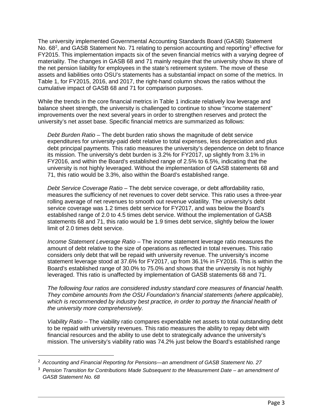The university implemented Governmental Accounting Standards Board (GASB) Statement No. 68<sup>[2](#page-4-0)</sup>, and GASB Statement No. 71 relating to pension accounting and reporting<sup>[3](#page-4-1)</sup> effective for FY2015. This implementation impacts six of the seven financial metrics with a varying degree of materiality. The changes in GASB 68 and 71 mainly require that the university show its share of the net pension liability for employees in the state's retirement system. The move of these assets and liabilities onto OSU's statements has a substantial impact on some of the metrics. In Table 1, for FY2015, 2016, and 2017, the right-hand column shows the ratios without the cumulative impact of GASB 68 and 71 for comparison purposes.

While the trends in the core financial metrics in Table 1 indicate relatively low leverage and balance sheet strength, the university is challenged to continue to show "income statement" improvements over the next several years in order to strengthen reserves and protect the university's net asset base. Specific financial metrics are summarized as follows:

*Debt Burden Ratio* – The debt burden ratio shows the magnitude of debt service expenditures for university-paid debt relative to total expenses, less depreciation and plus debt principal payments. This ratio measures the university's dependence on debt to finance its mission. The university's debt burden is 3.2% for FY2017, up slightly from 3.1% in FY2016, and within the Board's established range of 2.5% to 6.5%, indicating that the university is not highly leveraged. Without the implementation of GASB statements 68 and 71, this ratio would be 3.3%, also within the Board's established range.

*Debt Service Coverage Ratio* – The debt service coverage, or debt affordability ratio, measures the sufficiency of net revenues to cover debt service. This ratio uses a three-year rolling average of net revenues to smooth out revenue volatility. The university's debt service coverage was 1.2 times debt service for FY2017, and was below the Board's established range of 2.0 to 4.5 times debt service. Without the implementation of GASB statements 68 and 71, this ratio would be 1.9 times debt service, slightly below the lower limit of 2.0 times debt service.

*Income Statement Leverage Ratio* – The income statement leverage ratio measures the amount of debt relative to the size of operations as reflected in total revenues. This ratio considers only debt that will be repaid with university revenue. The university's income statement leverage stood at 37.6% for FY2017, up from 36.1% in FY2016. This is within the Board's established range of 30.0% to 75.0% and shows that the university is not highly leveraged. This ratio is unaffected by implementation of GASB statements 68 and 71.

*The following four ratios are considered industry standard core measures of financial health. They combine amounts from the OSU Foundation's financial statements (where applicable), which is recommended by industry best practice, in order to portray the financial health of the university more comprehensively.*

*Viability Ratio* – The viability ratio compares expendable net assets to total outstanding debt to be repaid with university revenues. This ratio measures the ability to repay debt with financial resources and the ability to use debt to strategically advance the university's mission. The university's viability ratio was 74.2% just below the Board's established range

<span id="page-4-0"></span> <sup>2</sup> *Accounting and Financial Reporting for Pensions—an amendment of GASB Statement No. 27*

<span id="page-4-1"></span><sup>3</sup> *Pension Transition for Contributions Made Subsequent to the Measurement Date – an amendment of GASB Statement No. 68*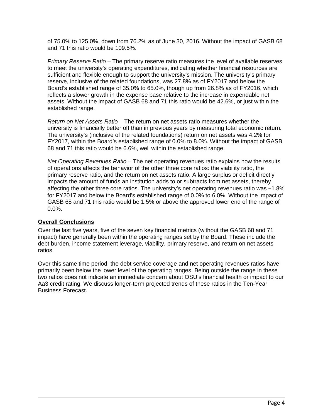of 75.0% to 125.0%, down from 76.2% as of June 30, 2016. Without the impact of GASB 68 and 71 this ratio would be 109.5%.

*Primary Reserve Ratio* – The primary reserve ratio measures the level of available reserves to meet the university's operating expenditures, indicating whether financial resources are sufficient and flexible enough to support the university's mission. The university's primary reserve, inclusive of the related foundations, was 27.8% as of FY2017 and below the Board's established range of 35.0% to 65.0%, though up from 26.8% as of FY2016, which reflects a slower growth in the expense base relative to the increase in expendable net assets. Without the impact of GASB 68 and 71 this ratio would be 42.6%, or just within the established range.

*Return on Net Assets Ratio* – The return on net assets ratio measures whether the university is financially better off than in previous years by measuring total economic return. The university's (inclusive of the related foundations) return on net assets was 4.2% for FY2017, within the Board's established range of 0.0% to 8.0%. Without the impact of GASB 68 and 71 this ratio would be 6.6%, well within the established range.

*Net Operating Revenues Ratio* – The net operating revenues ratio explains how the results of operations affects the behavior of the other three core ratios: the viability ratio, the primary reserve ratio, and the return on net assets ratio. A large surplus or deficit directly impacts the amount of funds an institution adds to or subtracts from net assets, thereby affecting the other three core ratios. The university's net operating revenues ratio was -1.8% for FY2017 and below the Board's established range of 0.0% to 6.0%. Without the impact of GASB 68 and 71 this ratio would be 1.5% or above the approved lower end of the range of 0.0%.

# <span id="page-5-0"></span>**Overall Conclusions**

Over the last five years, five of the seven key financial metrics (without the GASB 68 and 71 impact) have generally been within the operating ranges set by the Board. These include the debt burden, income statement leverage, viability, primary reserve, and return on net assets ratios.

Over this same time period, the debt service coverage and net operating revenues ratios have primarily been below the lower level of the operating ranges. Being outside the range in these two ratios does not indicate an immediate concern about OSU's financial health or impact to our Aa3 credit rating. We discuss longer-term projected trends of these ratios in the Ten-Year Business Forecast.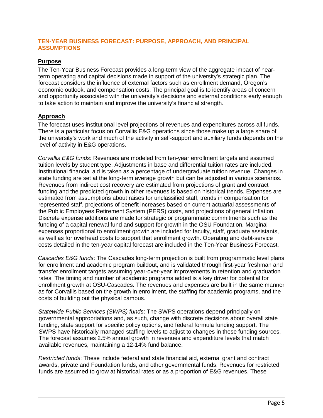# <span id="page-6-0"></span>**TEN-YEAR BUSINESS FORECAST: PURPOSE, APPROACH, AND PRINCIPAL ASSUMPTIONS**

# <span id="page-6-1"></span>**Purpose**

The Ten-Year Business Forecast provides a long-term view of the aggregate impact of nearterm operating and capital decisions made in support of the university's strategic plan. The forecast considers the influence of external factors such as enrollment demand, Oregon's economic outlook, and compensation costs. The principal goal is to identify areas of concern and opportunity associated with the university's decisions and external conditions early enough to take action to maintain and improve the university's financial strength.

# <span id="page-6-2"></span>**Approach**

The forecast uses institutional level projections of revenues and expenditures across all funds. There is a particular focus on Corvallis E&G operations since those make up a large share of the university's work and much of the activity in self-support and auxiliary funds depends on the level of activity in E&G operations.

*Corvallis E&G funds*: Revenues are modeled from ten-year enrollment targets and assumed tuition levels by student type. Adjustments in base and differential tuition rates are included. Institutional financial aid is taken as a percentage of undergraduate tuition revenue. Changes in state funding are set at the long-term average growth but can be adjusted in various scenarios. Revenues from indirect cost recovery are estimated from projections of grant and contract funding and the predicted growth in other revenues is based on historical trends. Expenses are estimated from assumptions about raises for unclassified staff, trends in compensation for represented staff, projections of benefit increases based on current actuarial assessments of the Public Employees Retirement System (PERS) costs, and projections of general inflation. Discrete expense additions are made for strategic or programmatic commitments such as the funding of a capital renewal fund and support for growth in the OSU Foundation. Marginal expenses proportional to enrollment growth are included for faculty, staff, graduate assistants, as well as for overhead costs to support that enrollment growth. Operating and debt-service costs detailed in the ten-year capital forecast are included in the Ten-Year Business Forecast.

*Cascades E&G funds*: The Cascades long-term projection is built from programmatic level plans for enrollment and academic program buildout, and is validated through first-year freshman and transfer enrollment targets assuming year-over-year improvements in retention and graduation rates. The timing and number of academic programs added is a key driver for potential for enrollment growth at OSU-Cascades. The revenues and expenses are built in the same manner as for Corvallis based on the growth in enrollment, the staffing for academic programs, and the costs of building out the physical campus.

*Statewide Public Services (SWPS) funds*: The SWPS operations depend principally on governmental appropriations and, as such, change with discrete decisions about overall state funding, state support for specific policy options, and federal formula funding support. The SWPS have historically managed staffing levels to adjust to changes in these funding sources. The forecast assumes 2.5% annual growth in revenues and expenditure levels that match available revenues, maintaining a 12-14% fund balance.

*Restricted funds*: These include federal and state financial aid, external grant and contract awards, private and Foundation funds, and other governmental funds. Revenues for restricted funds are assumed to grow at historical rates or as a proportion of E&G revenues. These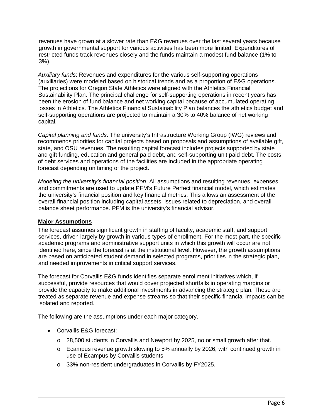revenues have grown at a slower rate than E&G revenues over the last several years because growth in governmental support for various activities has been more limited. Expenditures of restricted funds track revenues closely and the funds maintain a modest fund balance (1% to 3%).

*Auxiliary funds*: Revenues and expenditures for the various self-supporting operations (auxiliaries) were modeled based on historical trends and as a proportion of E&G operations. The projections for Oregon State Athletics were aligned with the Athletics Financial Sustainability Plan. The principal challenge for self-supporting operations in recent years has been the erosion of fund balance and net working capital because of accumulated operating losses in Athletics. The Athletics Financial Sustainability Plan balances the athletics budget and self-supporting operations are projected to maintain a 30% to 40% balance of net working capital.

*Capital planning and funds*: The university's Infrastructure Working Group (IWG) reviews and recommends priorities for capital projects based on proposals and assumptions of available gift, state, and OSU revenues. The resulting capital forecast includes projects supported by state and gift funding, education and general paid debt, and self-supporting unit paid debt. The costs of debt services and operations of the facilities are included in the appropriate operating forecast depending on timing of the project.

*Modeling the university's financial position:* All assumptions and resulting revenues, expenses, and commitments are used to update PFM's Future Perfect financial model, which estimates the university's financial position and key financial metrics. This allows an assessment of the overall financial position including capital assets, issues related to depreciation, and overall balance sheet performance. PFM is the university's financial advisor.

# <span id="page-7-0"></span>**Major Assumptions**

The forecast assumes significant growth in staffing of faculty, academic staff, and support services, driven largely by growth in various types of enrollment. For the most part, the specific academic programs and administrative support units in which this growth will occur are not identified here, since the forecast is at the institutional level. However, the growth assumptions are based on anticipated student demand in selected programs, priorities in the strategic plan, and needed improvements in critical support services.

The forecast for Corvallis E&G funds identifies separate enrollment initiatives which, if successful, provide resources that would cover projected shortfalls in operating margins or provide the capacity to make additional investments in advancing the strategic plan. These are treated as separate revenue and expense streams so that their specific financial impacts can be isolated and reported.

The following are the assumptions under each major category.

- Corvallis E&G forecast:
	- $\circ$  28,500 students in Corvallis and Newport by 2025, no or small growth after that.
	- o Ecampus revenue growth slowing to 5% annually by 2026, with continued growth in use of Ecampus by Corvallis students.
	- o 33% non-resident undergraduates in Corvallis by FY2025.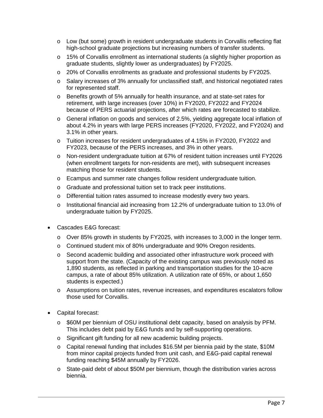- o Low (but some) growth in resident undergraduate students in Corvallis reflecting flat high-school graduate projections but increasing numbers of transfer students.
- o 15% of Corvallis enrollment as international students (a slightly higher proportion as graduate students, slightly lower as undergraduates) by FY2025.
- o 20% of Corvallis enrollments as graduate and professional students by FY2025.
- o Salary increases of 3% annually for unclassified staff, and historical negotiated rates for represented staff.
- o Benefits growth of 5% annually for health insurance, and at state-set rates for retirement, with large increases (over 10%) in FY2020, FY2022 and FY2024 because of PERS actuarial projections, after which rates are forecasted to stabilize.
- o General inflation on goods and services of 2.5%, yielding aggregate local inflation of about 4.2% in years with large PERS increases (FY2020, FY2022, and FY2024) and 3.1% in other years.
- o Tuition increases for resident undergraduates of 4.15% in FY2020, FY2022 and FY2023, because of the PERS increases, and 3% in other years.
- o Non-resident undergraduate tuition at 67% of resident tuition increases until FY2026 (when enrollment targets for non-residents are met), with subsequent increases matching those for resident students.
- o Ecampus and summer rate changes follow resident undergraduate tuition.
- o Graduate and professional tuition set to track peer institutions.
- o Differential tuition rates assumed to increase modestly every two years.
- o Institutional financial aid increasing from 12.2% of undergraduate tuition to 13.0% of undergraduate tuition by FY2025.
- Cascades E&G forecast:
	- $\circ$  Over 85% growth in students by FY2025, with increases to 3,000 in the longer term.
	- o Continued student mix of 80% undergraduate and 90% Oregon residents.
	- o Second academic building and associated other infrastructure work proceed with support from the state. (Capacity of the existing campus was previously noted as 1,890 students, as reflected in parking and transportation studies for the 10-acre campus, a rate of about 85% utilization. A utilization rate of 65%, or about 1,650 students is expected.)
	- o Assumptions on tuition rates, revenue increases, and expenditures escalators follow those used for Corvallis.
- Capital forecast:
	- o \$60M per biennium of OSU institutional debt capacity, based on analysis by PFM. This includes debt paid by E&G funds and by self-supporting operations.
	- o Significant gift funding for all new academic building projects.
	- o Capital renewal funding that includes \$16.5M per biennia paid by the state, \$10M from minor capital projects funded from unit cash, and E&G-paid capital renewal funding reaching \$45M annually by FY2026.
	- o State-paid debt of about \$50M per biennium, though the distribution varies across biennia.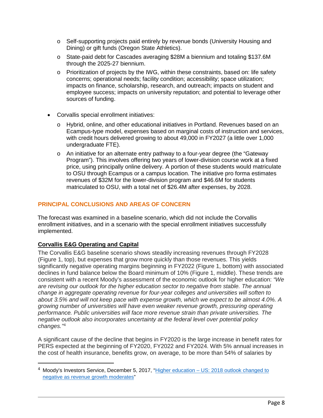- o Self-supporting projects paid entirely by revenue bonds (University Housing and Dining) or gift funds (Oregon State Athletics).
- o State-paid debt for Cascades averaging \$28M a biennium and totaling \$137.6M through the 2025-27 biennium.
- $\circ$  Prioritization of projects by the IWG, within these constraints, based on: life safety concerns; operational needs; facility condition; accessibility; space utilization; impacts on finance, scholarship, research, and outreach; impacts on student and employee success; impacts on university reputation; and potential to leverage other sources of funding.
- Corvallis special enrollment initiatives:
	- o Hybrid, online, and other educational initiatives in Portland. Revenues based on an Ecampus-type model, expenses based on marginal costs of instruction and services, with credit hours delivered growing to about 49,000 in FY2027 (a little over 1,000 undergraduate FTE).
	- o An initiative for an alternate entry pathway to a four-year degree (the "Gateway Program"). This involves offering two years of lower-division course work at a fixed price, using principally online delivery. A portion of these students would matriculate to OSU through Ecampus or a campus location. The initiative pro forma estimates revenues of \$32M for the lower-division program and \$46.6M for students matriculated to OSU, with a total net of \$26.4M after expenses, by 2028.

# <span id="page-9-0"></span>**PRINCIPAL CONCLUSIONS AND AREAS OF CONCERN**

The forecast was examined in a baseline scenario, which did not include the Corvallis enrollment initiatives, and in a scenario with the special enrollment initiatives successfully implemented.

# <span id="page-9-1"></span>**Corvallis E&G Operating and Capital**

The Corvallis E&G baseline scenario shows steadily increasing revenues through FY2028 (Figure 1, top), but expenses that grow more quickly than those revenues. This yields significantly negative operating margins beginning in FY2022 (Figure 1, bottom) with associated declines in fund balance below the Board minimum of 10% (Figure 1, middle). These trends are consistent with a recent Moody's assessment of the economic outlook for higher education: *"We are revising our outlook for the higher education sector to negative from stable. The annual change in aggregate operating revenue for four-year colleges and universities will soften to about 3.5% and will not keep pace with expense growth, which we expect to be almost 4.0%. A growing number of universities will have even weaker revenue growth, pressuring operating performance. Public universities will face more revenue strain than private universities. The negative outlook also incorporates uncertainty at the federal level over potential policy changes."*[4](#page-9-2)

A significant cause of the decline that begins in FY2020 is the large increase in benefit rates for PERS expected at the beginning of FY2020, FY2022 and FY2024. With 5% annual increases in the cost of health insurance, benefits grow, on average, to be more than 54% of salaries by

<span id="page-9-2"></span> <sup>4</sup> Moody's Investors Service, December 5, 2017, "Higher education – [US: 2018 outlook changed to](https://www.insidehighered.com/sites/default/server_files/media/2018%20Outlook%20for%20Higher%20Education%20Changed%20to%20Negative.pdf)  [negative as revenue](https://www.insidehighered.com/sites/default/server_files/media/2018%20Outlook%20for%20Higher%20Education%20Changed%20to%20Negative.pdf) growth moderates"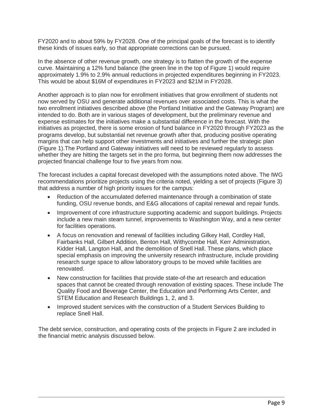FY2020 and to about 59% by FY2028. One of the principal goals of the forecast is to identify these kinds of issues early, so that appropriate corrections can be pursued.

In the absence of other revenue growth, one strategy is to flatten the growth of the expense curve. Maintaining a 12% fund balance (the green line in the top of Figure 1) would require approximately 1.9% to 2.9% annual reductions in projected expenditures beginning in FY2023. This would be about \$16M of expenditures in FY2023 and \$21M in FY2028.

Another approach is to plan now for enrollment initiatives that grow enrollment of students not now served by OSU and generate additional revenues over associated costs. This is what the two enrollment initiatives described above (the Portland Initiative and the Gateway Program) are intended to do. Both are in various stages of development, but the preliminary revenue and expense estimates for the initiatives make a substantial difference in the forecast. With the initiatives as projected, there is some erosion of fund balance in FY2020 through FY2023 as the programs develop, but substantial net revenue growth after that, producing positive operating margins that can help support other investments and initiatives and further the strategic plan (Figure 1).The Portland and Gateway initiatives will need to be reviewed regularly to assess whether they are hitting the targets set in the pro forma, but beginning them now addresses the projected financial challenge four to five years from now.

The forecast includes a capital forecast developed with the assumptions noted above. The IWG recommendations prioritize projects using the criteria noted, yielding a set of projects (Figure 3) that address a number of high priority issues for the campus:

- Reduction of the accumulated deferred maintenance through a combination of state funding, OSU revenue bonds, and E&G allocations of capital renewal and repair funds.
- Improvement of core infrastructure supporting academic and support buildings. Projects include a new main steam tunnel, improvements to Washington Way, and a new center for facilities operations.
- A focus on renovation and renewal of facilities including Gilkey Hall, Cordley Hall, Fairbanks Hall, Gilbert Addition, Benton Hall, Withycombe Hall, Kerr Administration, Kidder Hall, Langton Hall, and the demolition of Snell Hall. These plans, which place special emphasis on improving the university research infrastructure, include providing research surge space to allow laboratory groups to be moved while facilities are renovated.
- New construction for facilities that provide state-of-the art research and education spaces that cannot be created through renovation of existing spaces. These include The Quality Food and Beverage Center, the Education and Performing Arts Center, and STEM Education and Research Buildings 1, 2, and 3.
- Improved student services with the construction of a Student Services Building to replace Snell Hall.

The debt service, construction, and operating costs of the projects in Figure 2 are included in the financial metric analysis discussed below.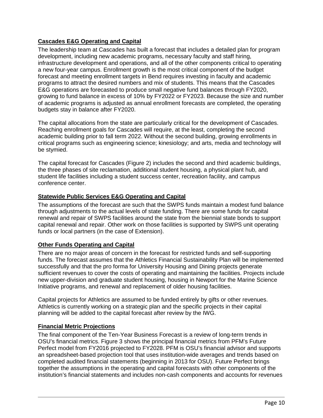# <span id="page-11-0"></span>**Cascades E&G Operating and Capital**

The leadership team at Cascades has built a forecast that includes a detailed plan for program development, including new academic programs, necessary faculty and staff hiring, infrastructure development and operations, and all of the other components critical to operating a new four-year campus. Enrollment growth is the most critical component of the budget forecast and meeting enrollment targets in Bend requires investing in faculty and academic programs to attract the desired numbers and mix of students. This means that the Cascades E&G operations are forecasted to produce small negative fund balances through FY2020, growing to fund balance in excess of 10% by FY2022 or FY2023. Because the size and number of academic programs is adjusted as annual enrollment forecasts are completed, the operating budgets stay in balance after FY2020.

The capital allocations from the state are particularly critical for the development of Cascades. Reaching enrollment goals for Cascades will require, at the least, completing the second academic building prior to fall term 2022. Without the second building, growing enrollments in critical programs such as engineering science; kinesiology; and arts, media and technology will be stymied.

The capital forecast for Cascades (Figure 2) includes the second and third academic buildings, the three phases of site reclamation, additional student housing, a physical plant hub, and student life facilities including a student success center, recreation facility, and campus conference center.

# <span id="page-11-1"></span>**Statewide Public Services E&G Operating and Capital**

The assumptions of the forecast are such that the SWPS funds maintain a modest fund balance through adjustments to the actual levels of state funding. There are some funds for capital renewal and repair of SWPS facilities around the state from the biennial state bonds to support capital renewal and repair. Other work on those facilities is supported by SWPS unit operating funds or local partners (in the case of Extension).

# <span id="page-11-2"></span>**Other Funds Operating and Capital**

There are no major areas of concern in the forecast for restricted funds and self-supporting funds. The forecast assumes that the Athletics Financial Sustainability Plan will be implemented successfully and that the pro forma for University Housing and Dining projects generate sufficient revenues to cover the costs of operating and maintaining the facilities. Projects include new upper-division and graduate student housing, housing in Newport for the Marine Science Initiative programs, and renewal and replacement of older housing facilities.

Capital projects for Athletics are assumed to be funded entirely by gifts or other revenues. Athletics is currently working on a strategic plan and the specific projects in their capital planning will be added to the capital forecast after review by the IWG.

# <span id="page-11-3"></span>**Financial Metric Projections**

The final component of the Ten-Year Business Forecast is a review of long-term trends in OSU's financial metrics. Figure 3 shows the principal financial metrics from PFM's Future Perfect model from FY2016 projected to FY2028. PFM is OSU's financial advisor and supports an spreadsheet-based projection tool that uses institution-wide averages and trends based on completed audited financial statements (beginning in 2013 for OSU). Future Perfect brings together the assumptions in the operating and capital forecasts with other components of the institution's financial statements and includes non-cash components and accounts for revenues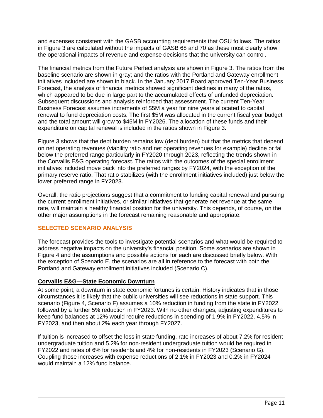and expenses consistent with the GASB accounting requirements that OSU follows. The ratios in Figure 3 are calculated without the impacts of GASB 68 and 70 as these most clearly show the operational impacts of revenue and expense decisions that the university can control.

The financial metrics from the Future Perfect analysis are shown in Figure 3. The ratios from the baseline scenario are shown in gray; and the ratios with the Portland and Gateway enrollment initiatives included are shown in black. In the January 2017 Board approved Ten-Year Business Forecast, the analysis of financial metrics showed significant declines in many of the ratios, which appeared to be due in large part to the accumulated effects of unfunded depreciation. Subsequent discussions and analysis reinforced that assessment. The current Ten-Year Business Forecast assumes increments of \$5M a year for nine years allocated to capital renewal to fund depreciation costs. The first \$5M was allocated in the current fiscal year budget and the total amount will grow to \$45M in FY2026. The allocation of these funds and their expenditure on capital renewal is included in the ratios shown in Figure 3.

Figure 3 shows that the debt burden remains low (debt burden) but that the metrics that depend on net operating revenues (viability ratio and net operating revenues for example) decline or fall below the preferred range particularly in FY2020 through 2023, reflecting the trends shown in the Corvallis E&G operating forecast. The ratios with the outcomes of the special enrollment initiatives included move back into the preferred ranges by FY2024, with the exception of the primary reserve ratio. That ratio stabilizes (with the enrollment initiatives included) just below the lower preferred range in FY2023.

Overall, the ratio projections suggest that a commitment to funding capital renewal and pursuing the current enrollment initiatives, or similar initiatives that generate net revenue at the same rate, will maintain a healthy financial position for the university. This depends, of course, on the other major assumptions in the forecast remaining reasonable and appropriate.

# <span id="page-12-0"></span>**SELECTED SCENARIO ANALYSIS**

The forecast provides the tools to investigate potential scenarios and what would be required to address negative impacts on the university's financial position. Some scenarios are shown in Figure 4 and the assumptions and possible actions for each are discussed briefly below. With the exception of Scenario E, the scenarios are all in reference to the forecast with both the Portland and Gateway enrollment initiatives included (Scenario C).

# <span id="page-12-1"></span>**Corvallis E&G—State Economic Downturn**

At some point, a downturn in state economic fortunes is certain. History indicates that in those circumstances it is likely that the public universities will see reductions in state support. This scenario (Figure 4, Scenario F) assumes a 10% reduction in funding from the state in FY2022 followed by a further 5% reduction in FY2023. With no other changes, adjusting expenditures to keep fund balances at 12% would require reductions in spending of 1.9% in FY2022, 4.5% in FY2023, and then about 2% each year through FY2027.

If tuition is increased to offset the loss in state funding, rate increases of about 7.2% for resident undergraduate tuition and 5.2% for non-resident undergraduate tuition would be required in FY2022 and rates of 6% for residents and 4% for non-residents in FY2023 (Scenario G). Coupling those increases with expense reductions of 2.1% in FY2023 and 0.2% in FY2024 would maintain a 12% fund balance.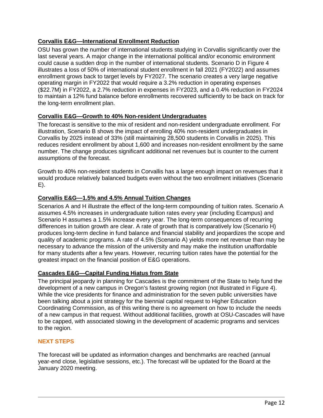# <span id="page-13-0"></span>**Corvallis E&G—International Enrollment Reduction**

OSU has grown the number of international students studying in Corvallis significantly over the last several years. A major change in the international political and/or economic environment could cause a sudden drop in the number of international students. Scenario D in Figure 4 illustrates a loss of 50% of international student enrollment in fall 2021 (FY2022) and assumes enrollment grows back to target levels by FY2027. The scenario creates a very large negative operating margin in FY2022 that would require a 3.2% reduction in operating expenses (\$22.7M) in FY2022, a 2.7% reduction in expenses in FY2023, and a 0.4% reduction in FY2024 to maintain a 12% fund balance before enrollments recovered sufficiently to be back on track for the long-term enrollment plan.

# <span id="page-13-1"></span>**Corvallis E&G—Growth to 40% Non-resident Undergraduates**

The forecast is sensitive to the mix of resident and non-resident undergraduate enrollment. For illustration, Scenario B shows the impact of enrolling 40% non-resident undergraduates in Corvallis by 2025 instead of 33% (still maintaining 28,500 students in Corvallis in 2025). This reduces resident enrollment by about 1,600 and increases non-resident enrollment by the same number. The change produces significant additional net revenues but is counter to the current assumptions of the forecast.

Growth to 40% non-resident students in Corvallis has a large enough impact on revenues that it would produce relatively balanced budgets even without the two enrollment initiatives (Scenario E).

# <span id="page-13-2"></span>**Corvallis E&G—1.5% and 4.5% Annual Tuition Changes**

Scenarios A and H illustrate the effect of the long-term compounding of tuition rates. Scenario A assumes 4.5% increases in undergraduate tuition rates every year (including Ecampus) and Scenario H assumes a 1.5% increase every year. The long-term consequences of recurring differences in tuition growth are clear. A rate of growth that is comparatively low (Scenario H) produces long-term decline in fund balance and financial stability and jeopardizes the scope and quality of academic programs. A rate of 4.5% (Scenario A) yields more net revenue than may be necessary to advance the mission of the university and may make the institution unaffordable for many students after a few years. However, recurring tuition rates have the potential for the greatest impact on the financial position of E&G operations.

# <span id="page-13-3"></span>**Cascades E&G—Capital Funding Hiatus from State**

The principal jeopardy in planning for Cascades is the commitment of the State to help fund the development of a new campus in Oregon's fastest growing region (not illustrated in Figure 4). While the vice presidents for finance and administration for the seven public universities have been talking about a joint strategy for the biennial capital request to Higher Education Coordinating Commission, as of this writing there is no agreement on how to include the needs of a new campus in that request. Without additional facilities, growth at OSU-Cascades will have to be capped, with associated slowing in the development of academic programs and services to the region.

# <span id="page-13-4"></span>**NEXT STEPS**

The forecast will be updated as information changes and benchmarks are reached (annual year-end close, legislative sessions, etc.). The forecast will be updated for the Board at the January 2020 meeting.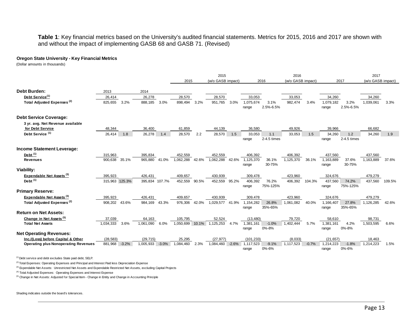#### **Table 1**: Key financial metrics based on the University's audited financial statements. Metrics for 2015, 2016 and 2017 are shown with and without the impact of implementing GASB 68 and GASB 71. (Revised)

#### **Oregon State University - Key Financial Metrics**

(Dollar amounts in thousands)

|                                             |                |         |                |         |           |       | 2015              |         | 2016               |                   |                   |         |                    | 2017              |                   |        |
|---------------------------------------------|----------------|---------|----------------|---------|-----------|-------|-------------------|---------|--------------------|-------------------|-------------------|---------|--------------------|-------------------|-------------------|--------|
|                                             |                |         |                |         | 2015      |       | (w/o GASB impact) |         | 2016               |                   | (w/o GASB impact) |         | 2017               |                   | (w/o GASB impact) |        |
| <b>Debt Burden:</b>                         | 2013           |         | 2014           |         |           |       |                   |         |                    |                   |                   |         |                    |                   |                   |        |
| Debt Service <sup>(1)</sup>                 | 26,414         |         | 26,278         |         | 28,570    |       | 28,570            |         | 33,053             |                   | 33,053            |         | 34,260             |                   | 34,260            |        |
| Total Adjusted Expenses <sup>(2)</sup>      | 825,655        | 3.2%    | 888,185        | 3.0%    | 898,494   | 3.2%  | 951.765           | 3.0%    | 1.075.674<br>range | 3.1%<br>2.5%-6.5% | 982.474           | 3.4%    | 1,079,182<br>range | 3.2%<br>2.5%-6.5% | 1.039.061         | 3.3%   |
| <b>Debt Service Coverage:</b>               |                |         |                |         |           |       |                   |         |                    |                   |                   |         |                    |                   |                   |        |
| 3 yr. avg. Net Revenue available            |                |         |                |         |           |       |                   |         |                    |                   |                   |         |                    |                   |                   |        |
| for Debt Service                            | 48,344         |         | 36,400         |         | 61,859    |       | 44,139            |         | 36,580             |                   | 49,926            |         | 39,966             |                   | 66,682            |        |
| Debt Service <sup>(1)</sup>                 | 26,414         | 1.8     | 26,278         | 1.4     | 28,570    | 2.2   | 28,570            | 1.5     | 33,053             | 1.1               | 33,053            | 1.5     | 34,260             | 1.2               | 34,260            | 1.9    |
|                                             |                |         |                |         |           |       |                   |         | range              | 2-4.5 times       |                   |         | range              | 2-4.5 times       |                   |        |
| Income Statement Leverage:                  |                |         |                |         |           |       |                   |         |                    |                   |                   |         |                    |                   |                   |        |
| Debt <sup>(1)</sup>                         | 315,963        |         | 395,834        |         | 452,559   |       | 452,559           |         | 406,392            |                   | 406,392           |         | 437,560            |                   | 437,560           |        |
| <b>Revenues</b>                             | 900.638        | 35.1%   | 965,880        | 41.0%   | 1.062.288 | 42.6% | 1.062.288         | 42.6%   | 1,125,370          | 36.1%             | 1,125,370         | 36.1%   | 1,163,889          | 37.6%             | 1,163,889         | 37.6%  |
|                                             |                |         |                |         |           |       |                   |         | range              | 30-75%            |                   |         | range              | 30-75%            |                   |        |
| Viability:                                  |                |         |                |         |           |       |                   |         |                    |                   |                   |         |                    |                   |                   |        |
| Expendable Net Assets <sup>(3)</sup>        | 395,923        |         | 426,431        |         | 409,657   |       | 430,939           |         | 309,478            |                   | 423,960           |         | 324,676            |                   | 479,279           |        |
| Debt $(1)$                                  | 315,963 125.3% |         | 395,834 107.7% |         | 452,559   | 90.5% | 452,559           | 95.2%   | 406,392            | 76.2%             | 406,392           | 104.3%  | 437.560            | 74.2%             | 437,560           | 109.5% |
|                                             |                |         |                |         |           |       |                   |         | range              | 75%-125%          |                   |         | range              | 75%-125%          |                   |        |
| <b>Primary Reserve:</b>                     |                |         |                |         |           |       |                   |         |                    |                   |                   |         |                    |                   |                   |        |
| Expendable Net Assets <sup>(3)</sup>        | 395,923        |         | 426,431        |         | 409,657   |       | 430,939           |         | 309,478            |                   | 423,960           |         | 324,676            |                   | 479,279           |        |
| Total Adjusted Expenses <sup>(2)</sup>      | 908,202        | 43.6%   | 984,169        | 43.3%   | 976,306   | 42.0% | 1,029,577         | 41.9%   | 1,154,282          | 26.8%             | 1,061,082         | 40.0%   | 1.166.407          | 27.8%             | 1,126,285         | 42.6%  |
|                                             |                |         |                |         |           |       |                   |         | range              | 35%-65%           |                   |         | range              | 35%-65%           |                   |        |
| <b>Return on Net Assets:</b>                |                |         |                |         |           |       |                   |         |                    |                   |                   |         |                    |                   |                   |        |
| Change in Net Assets <sup>(5)</sup>         | 37,039         |         | 64,163         |         | 105,795   |       | 52.524            |         | (13, 480)          |                   | 79,720            |         | 58,610             |                   | 98,731            |        |
| <b>Total Net Assets</b>                     | 1,034,333      | 3.6%    | 1,061,090      | 6.0%    | 1,050,699 | 10.1% | 1,125,253         | 4.7%    | 1,381,161          | $-1.0%$           | 1,402,444         | 5.7%    | 1,381,161          | 4.2%              | 1,503,595         | 6.6%   |
| <b>Net Operating Revenues:</b>              |                |         |                |         |           |       |                   |         | range              | 0%-8%             |                   |         | range              | 0%-8%             |                   |        |
| Inc./(Loss) before Capital & Other          | (28.583)       |         | (29, 715)      |         | 25,295    |       | (27, 977)         |         | (101, 233)         |                   | (8,033)           |         | (21, 657)          |                   | 18,463            |        |
| <b>Operating plus Nonoperating Revenues</b> | 881,968        | $-3.2%$ | 1,005,933      | $-3.0%$ | 1,084,460 | 2.3%  | 1,084,460         | $-2.6%$ | 1,117,523          | $-9.1%$           | 1,117,523         | $-0.7%$ | 1,214,223          | $-1.8%$           | 1,214,223         | 1.5%   |
|                                             |                |         |                |         |           |       |                   |         | range              | 0%-6%             |                   |         | range              | 0%-6%             |                   |        |

(1) Debt service and debt excludes State paid debt, SELP.

<sup>(2)</sup> Total Expenses: Operating Expenses and Principal and Interest Paid less Depreciation Expense

<sup>(3)</sup> Expendable Net Assets: Unrestricted Net Assets and Expendable Restricted Net Assets, excluding Capital Projects

(4) Total Adjusted Expenses: Operating Expenses and Interest Expense

<sup>(5)</sup> Change in Net Assets: Adjusted for Special Item - Change in Entity and Change in Accounting Principle

Shading indicates outside the board's tolerances.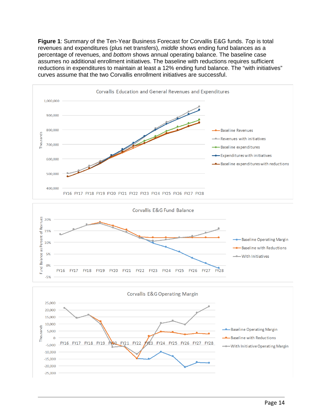**Figure 1**: Summary of the Ten-Year Business Forecast for Corvallis E&G funds. *Top* is total revenues and expenditures (plus net transfers), *middle* shows ending fund balances as a percentage of revenues, and *bottom* shows annual operating balance. The baseline case assumes no additional enrollment initiatives. The baseline with reductions requires sufficient reductions in expenditures to maintain at least a 12% ending fund balance. The "with initiatives" curves assume that the two Corvallis enrollment initiatives are successful.

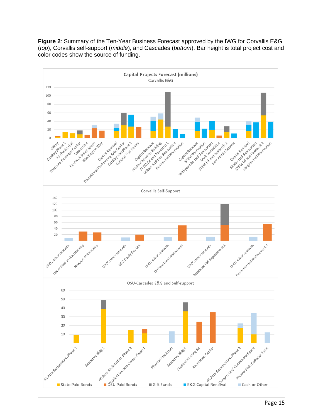**Figure 2**: Summary of the Ten-Year Business Forecast approved by the IWG for Corvallis E&G (*top*), Corvallis self-support (*middle*), and Cascades (*bottom*). Bar height is total project cost and color codes show the source of funding.

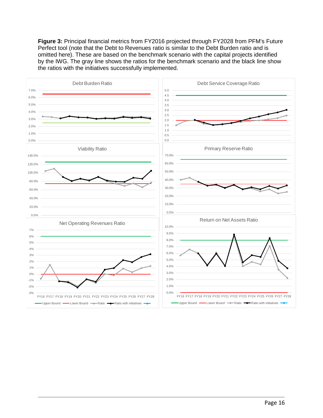**Figure 3:** Principal financial metrics from FY2016 projected through FY2028 from PFM's Future Perfect tool (note that the Debt to Revenues ratio is similar to the Debt Burden ratio and is omitted here). These are based on the benchmark scenario with the capital projects identified by the IWG. The gray line shows the ratios for the benchmark scenario and the black line show the ratios with the initiatives successfully implemented.